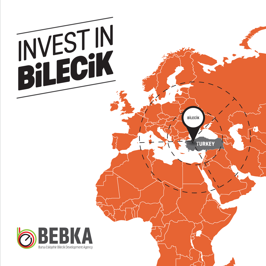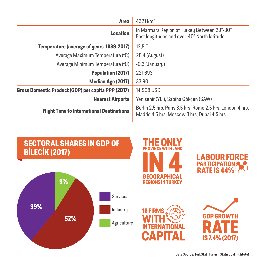| $4321 \,\mathrm{km^2}$<br>Area                     |                                                                                                           |  |  |  |
|----------------------------------------------------|-----------------------------------------------------------------------------------------------------------|--|--|--|
| <b>Location</b>                                    | In Marmara Region of Turkey Between 29°-30°<br>East longitudes and over 40° North latitude.               |  |  |  |
| Temperature (average of years 1939-2017)           | 12.5C                                                                                                     |  |  |  |
| Average Maximum Temperature (°C)                   | 28,4 (August)                                                                                             |  |  |  |
| Average Minimum Temperature (°C)                   | $-0.3$ (January)                                                                                          |  |  |  |
| <b>Population (2017)</b>                           | 221693                                                                                                    |  |  |  |
| <b>Median Age (2017)</b>                           | 33.90                                                                                                     |  |  |  |
| Gross Domestic Product (GDP) per capita PPP (2017) | 14.908 USD                                                                                                |  |  |  |
| <b>Nearest Airports</b>                            | Yenişehir (YEI), Sabiha Gökçen (SAW)                                                                      |  |  |  |
| <b>Flight Time to International Destinations</b>   | Berlin 2.5 hrs, Paris 3.5 hrs, Rome 2.5 hrs, London 4 hrs,<br>Madrid 4,5 hrs, Moscow 3 hrs, Dubai 4,5 hrs |  |  |  |



Data Source: TurkStat (Turkish Statistical Institute)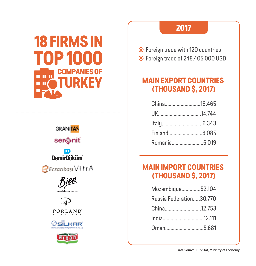# **18 FIRMS IN TOP 1000 COMPANIES OF HH TURKEY**  $\mathbf{H}$   $\mathbf{H}$

**GRANITAS** seronit **DemirDöküm BEczacibasi** VirrA cloanyo limitear PORI <u>AND</u>

# **2017**

Foreign trade with 120 countries

Foreign trade of 248.405.000 USD

# **MAIN EXPORT COUNTRIES (THOUSAND \$, 2017)**

| China18.465  |  |
|--------------|--|
|              |  |
|              |  |
|              |  |
| Romania6.019 |  |

# **MAIN IMPORT COUNTRIES (THOUSAND \$, 2017)**

| Mozambique52.104        |  |
|-------------------------|--|
| Russia Federation30.770 |  |
| China12.753             |  |
| India12.111             |  |
| Oman5.681               |  |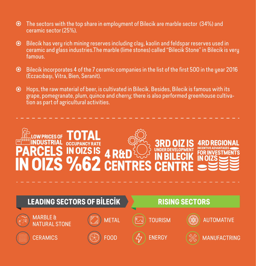- The sectors with the top share in employment of Bilecik are marble sector (34%) and ceramic sector (25%).
- Bilecik has very rich mining reserves including clay, kaolin and feldspar reserves used in ceramic and glass industries.The marble (lime stones) called "Bilecik Stone" in Bilecik is very famous.
- Bilecik incorporates 4 of the 7 ceramic companies in the list of the first 500 in the year 2016  $\odot$ (Eczacıbaşı, Vitra, Bien, Seranit).
- Hops, the raw material of beer, is cultivated in Bilecik. Besides, Bilecik is famous with its grape, pomegranate, plum, quince and cherry; there is also performed greenhouse cultivation as part of agricultural activities.

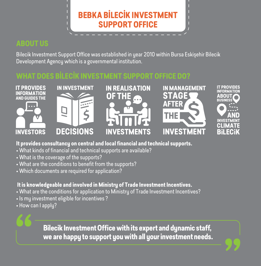# **BEBKA BİLECİK INVESTMENT SUPPORT OFFICE**

## **ABOUT US**

Bilecik Investment Support Office was established in year 2010 within Bursa Eskişehir Bilecik Development Agency which is a governmental institution.

### **WHAT DOES BİLECİK INVESTMENT SUPPORT OFFICE DO?**



#### **It provides consultancy on central and local financial and technical supports.**

- What kinds of financial and technical supports are available?
- What is the coverage of the supports?
- What are the conditions to benefit from the supports?
- Which documents are required for application?

#### **It is knowledgeable and involved in Ministry of Trade Investment Incentives.**

- What are the conditions for application to Ministry of Trade Investment Incentives?
- Is my investment eligible for incentives ?
- How can I apply?

**Bilecik Investment Office with its expert and dynamic staff, we are happy to support you with all your investment needs.**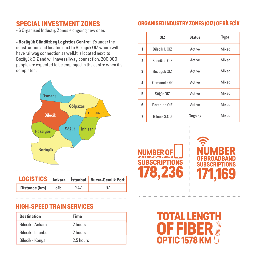## **SPECIAL INVESTMENT ZONES**

• 6 Organised Industry Zones + ongoing new ones

• **Bozüyük Gündüzbey Logistics Centre:** It's under the construction and located next to Bozuyuk OIZ where will have railway connection as well.It is located next to Bozüyük OIZ and will have railway connection. 200,000 people are expected to be employed in the centre when it's completed.



|               |     |     | LOGISTICS Ankara Istanbul Bursa-Gemlik Port |  |  |
|---------------|-----|-----|---------------------------------------------|--|--|
| Distance (km) | 315 | 247 | 97                                          |  |  |

#### **HIGH-SPEED TRAIN SERVICES**

| <b>Destination</b> | Time      |
|--------------------|-----------|
| Bilecik - Ankara   | 2 hours   |
| Bilecik - İstanbul | 2 hours   |
| Bilecik - Konya    | 2.5 hours |

#### **ORGANISED INDUSTRY ZONES (OIZ) OF BİLECİK**

|                | 0IZ            | <b>Status</b> | <b>Type</b> |
|----------------|----------------|---------------|-------------|
| 1              | Bilecik 1. OIZ | Active        | Mixed       |
| $\overline{2}$ | Bilecik 2. OIZ | Active        | Mixed       |
| 3              | Bozüyük OIZ    | Active        | Mixed       |
| 4              | Osmaneli OIZ   | Active        | Mixed       |
| 5              | Söğüt OIZ      | Active        | Mixed       |
| 6              | Pazaryeri OIZ  | Active        | Mixed       |
| 7              | Bilecik 3.0IZ  | Ongoing       | Mixed       |

**NUMBER OF SUBSCRIPTIONS 178,236**



**TOTAL LENGT OF FIBER OPTIC 1578 KM**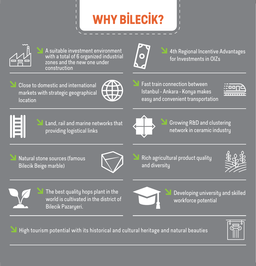# **WHY BİLECİK?**



A suitable investment environment with a total of 6 organized industrial zones and the new one under construction



4th Regional Incentive Advantages for Investments in OIZs

Close to domestic and international markets with strategic geographical location



Fast train connection between Istanbul - Ankara - Konya makes easy and convenient transportation

|  | <b>STATE OF STATE OF STATE OF STATE OF STATE OF STATE OF STATE OF STATE OF STATE OF STATE OF STATE OF STATE</b> | ۰ |  |  |
|--|-----------------------------------------------------------------------------------------------------------------|---|--|--|



Land, rail and marine networks that providing logistical links



Growing R&D and clustering network in ceramic industry

Natural stone sources (famous Bilecik Beige marble)



Rich agricultural product quality and diversity





The best quality hops plant in the world is cultivated in the district of Bilecik Pazaryeri.



Developing university and skilled workforce potential

High tourism potential with its historical and cultural heritage and natural beauties